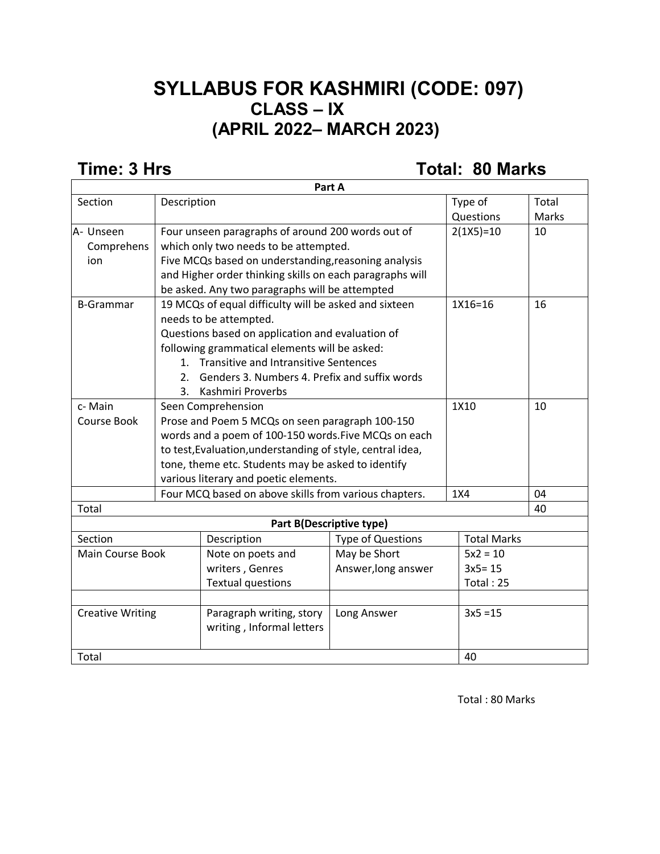### **SYLLABUS FOR KASHMIRI (CODE: 097) CLASS – IX (APRIL 2022– MARCH 2023)**

**Time: 3 Hrs Total: 80 Marks** 

| Part A                  |                                                                                                                    |                                                      |                          |                    |             |       |
|-------------------------|--------------------------------------------------------------------------------------------------------------------|------------------------------------------------------|--------------------------|--------------------|-------------|-------|
| Section                 | Description                                                                                                        |                                                      |                          |                    | Type of     | Total |
|                         |                                                                                                                    |                                                      |                          |                    | Questions   | Marks |
| A- Unseen               |                                                                                                                    | Four unseen paragraphs of around 200 words out of    |                          |                    | $2(1X5)=10$ | 10    |
| Comprehens              | which only two needs to be attempted.                                                                              |                                                      |                          |                    |             |       |
| ion                     |                                                                                                                    | Five MCQs based on understanding, reasoning analysis |                          |                    |             |       |
|                         | and Higher order thinking skills on each paragraphs will                                                           |                                                      |                          |                    |             |       |
|                         | be asked. Any two paragraphs will be attempted                                                                     |                                                      |                          |                    |             |       |
| <b>B-Grammar</b>        | 19 MCQs of equal difficulty will be asked and sixteen                                                              |                                                      |                          |                    | 1X16=16     | 16    |
|                         | needs to be attempted.                                                                                             |                                                      |                          |                    |             |       |
|                         | Questions based on application and evaluation of                                                                   |                                                      |                          |                    |             |       |
|                         | following grammatical elements will be asked:                                                                      |                                                      |                          |                    |             |       |
|                         | 1. Transitive and Intransitive Sentences                                                                           |                                                      |                          |                    |             |       |
|                         | Genders 3. Numbers 4. Prefix and suffix words<br>2 <sub>1</sub>                                                    |                                                      |                          |                    |             |       |
|                         | 3.                                                                                                                 | Kashmiri Proverbs                                    |                          |                    |             |       |
| c-Main                  |                                                                                                                    | Seen Comprehension                                   |                          |                    | 1X10        | 10    |
| Course Book             |                                                                                                                    | Prose and Poem 5 MCQs on seen paragraph 100-150      |                          |                    |             |       |
|                         | words and a poem of 100-150 words. Five MCQs on each<br>to test, Evaluation, understanding of style, central idea, |                                                      |                          |                    |             |       |
|                         |                                                                                                                    |                                                      |                          |                    |             |       |
|                         |                                                                                                                    | tone, theme etc. Students may be asked to identify   |                          |                    |             |       |
|                         |                                                                                                                    | various literary and poetic elements.                |                          |                    |             |       |
|                         | Four MCQ based on above skills from various chapters.                                                              |                                                      | 1X4                      |                    | 04          |       |
| Total                   |                                                                                                                    |                                                      |                          |                    |             | 40    |
|                         |                                                                                                                    |                                                      | Part B(Descriptive type) |                    |             |       |
| Section                 |                                                                                                                    | Description                                          | <b>Type of Questions</b> | <b>Total Marks</b> |             |       |
| Main Course Book        |                                                                                                                    | Note on poets and                                    | May be Short             |                    | $5x2 = 10$  |       |
|                         |                                                                                                                    | writers, Genres                                      | Answer, long answer      |                    | $3x5 = 15$  |       |
|                         |                                                                                                                    | <b>Textual questions</b>                             |                          |                    | Total: 25   |       |
|                         |                                                                                                                    |                                                      |                          |                    |             |       |
| <b>Creative Writing</b> |                                                                                                                    | Paragraph writing, story                             | Long Answer              |                    | $3x5 = 15$  |       |
|                         |                                                                                                                    | writing, Informal letters                            |                          |                    |             |       |
|                         |                                                                                                                    |                                                      |                          |                    |             |       |
| Total                   |                                                                                                                    |                                                      |                          |                    | 40          |       |

Total : 80 Marks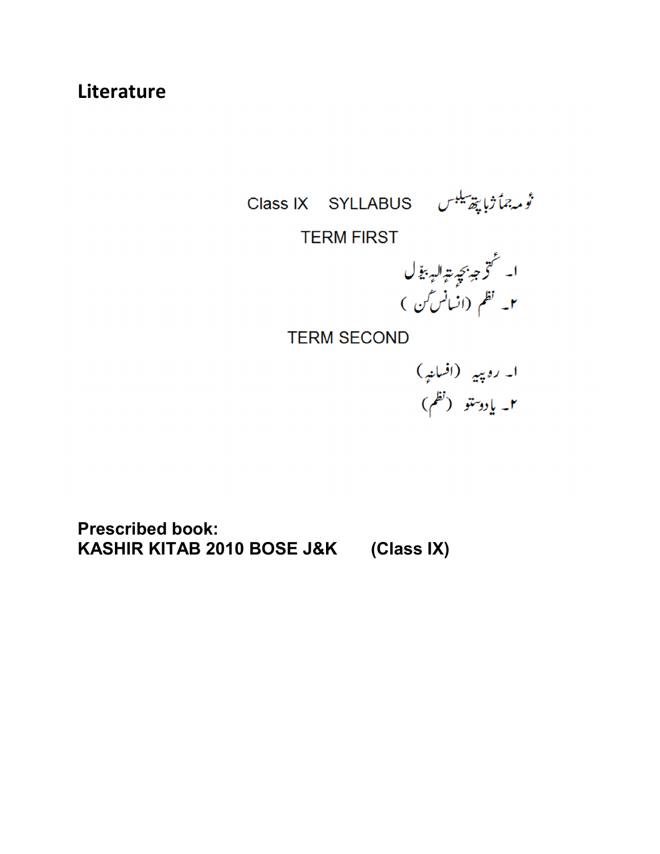### **Literature**

تُومهِ جماً ژبا پپھرسلیس Class IX SYLLABUS

**TERM FIRST** 

۲۰<br>ا۔ گتر ج<sub>ی</sub>ز بچ<sub>ی</sub>ت ال<sub>یہ</sub> بی<sub>ن</sub>ے ل<br>۲۔ نظم (انسانس کن )

**TERM SECOND** 

**Prescribed book: KASHIR KITAB 2010 BOSE J&K (Class IX)**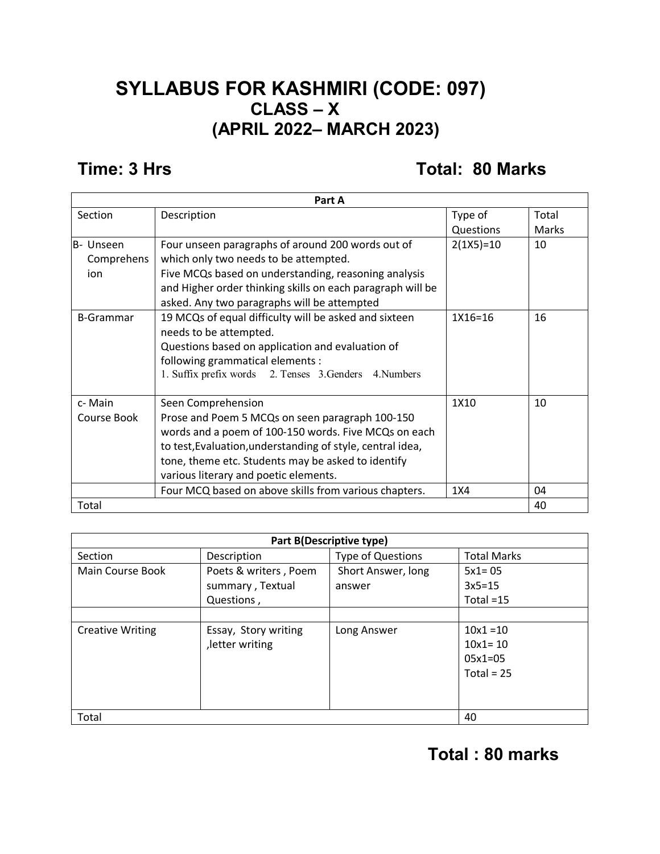#### **SYLLABUS FOR KASHMIRI (CODE: 097) CLASS – X (APRIL 2022– MARCH 2023)**

#### **Time: 3 Hrs Total: 80 Marks**

| Part A           |                                                            |             |              |  |
|------------------|------------------------------------------------------------|-------------|--------------|--|
| Section          | Description                                                | Type of     | Total        |  |
|                  |                                                            | Questions   | <b>Marks</b> |  |
| lB- Unseen       | Four unseen paragraphs of around 200 words out of          | $2(1X5)=10$ | 10           |  |
| Comprehens       | which only two needs to be attempted.                      |             |              |  |
| ion              | Five MCQs based on understanding, reasoning analysis       |             |              |  |
|                  | and Higher order thinking skills on each paragraph will be |             |              |  |
|                  | asked. Any two paragraphs will be attempted                |             |              |  |
| <b>B-Grammar</b> | 19 MCQs of equal difficulty will be asked and sixteen      | 1X16=16     | 16           |  |
|                  | needs to be attempted.                                     |             |              |  |
|                  | Questions based on application and evaluation of           |             |              |  |
|                  | following grammatical elements :                           |             |              |  |
|                  | 1. Suffix prefix words 2. Tenses 3. Genders 4. Numbers     |             |              |  |
|                  |                                                            |             |              |  |
| c- Main          | Seen Comprehension                                         | 1X10        | 10           |  |
| Course Book      | Prose and Poem 5 MCQs on seen paragraph 100-150            |             |              |  |
|                  | words and a poem of 100-150 words. Five MCQs on each       |             |              |  |
|                  | to test, Evaluation, understanding of style, central idea, |             |              |  |
|                  | tone, theme etc. Students may be asked to identify         |             |              |  |
|                  | various literary and poetic elements.                      |             |              |  |
|                  | Four MCQ based on above skills from various chapters.      | 1X4         | 04           |  |
| Total            |                                                            |             | 40           |  |

| <b>Part B(Descriptive type)</b> |                       |                          |                    |  |  |
|---------------------------------|-----------------------|--------------------------|--------------------|--|--|
| Section                         | Description           | <b>Type of Questions</b> | <b>Total Marks</b> |  |  |
| Main Course Book                | Poets & writers, Poem | Short Answer, long       | $5x1 = 05$         |  |  |
|                                 | summary, Textual      | answer                   | $3x5=15$           |  |  |
|                                 | Questions,            |                          | Total $=15$        |  |  |
|                                 |                       |                          |                    |  |  |
| <b>Creative Writing</b>         | Essay, Story writing  | Long Answer              | $10x1 = 10$        |  |  |
|                                 | letter writing        |                          | $10x1 = 10$        |  |  |
|                                 |                       |                          | $05x1=05$          |  |  |
|                                 |                       |                          | Total = $25$       |  |  |
|                                 |                       |                          |                    |  |  |
|                                 |                       |                          |                    |  |  |
| Total                           | 40                    |                          |                    |  |  |

### **Total : 80 marks**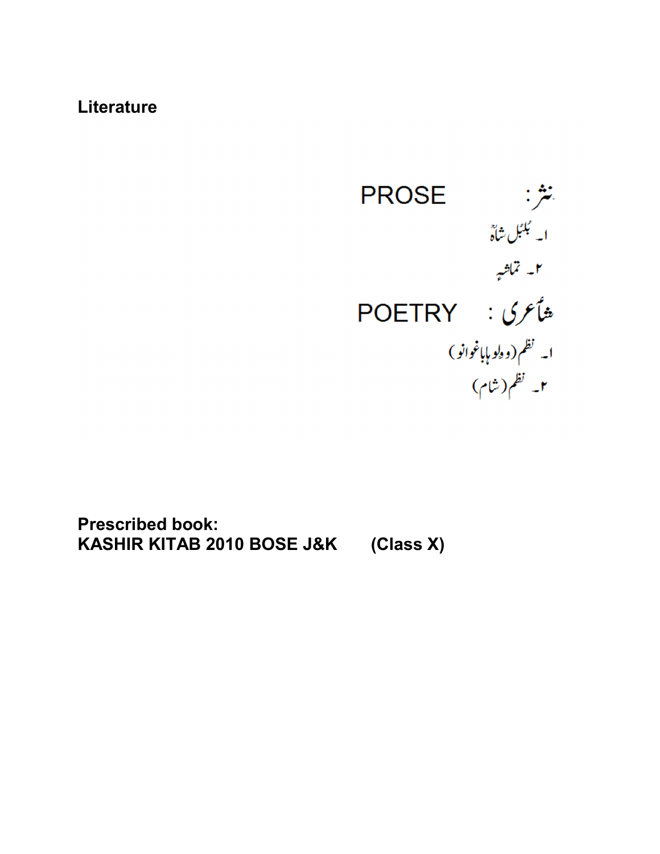#### **Literature**



**Prescribed book: KASHIR KITAB 2010 BOSE J&K (Class X)**